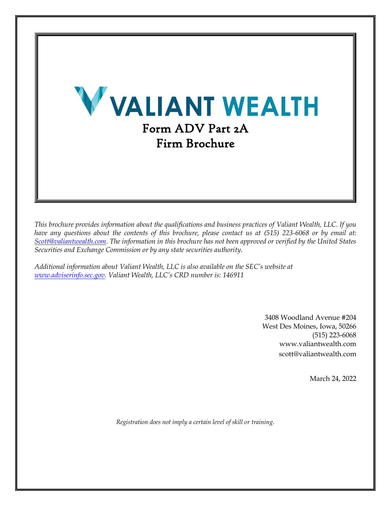

*This brochure provides information about the qualifications and business practices of Valiant Wealth, LLC. If you have any questions about the contents of this brochure, please contact us at (515) 223-6068 or by email at: [Scott@valiantwealth.com.](mailto:Scott@valiantwealth.com) The information in this brochure has not been approved or verified by the United States Securities and Exchange Commission or by any state securities authority.*

*Additional information about Valiant Wealth, LLC is also available on the SEC's website at [www.adviserinfo.sec.gov.](http://www.adviserinfo.sec.gov/) Valiant Wealth, LLC's CRD number is: 146911*

> 3408 Woodland Avenue #204 West Des Moines, Iowa, 50266 (515) 223-6068 www.valiantwealth.com scott@valiantwealth.com

> > March 24, 2022

*Registration does not imply a certain level of skill or training.*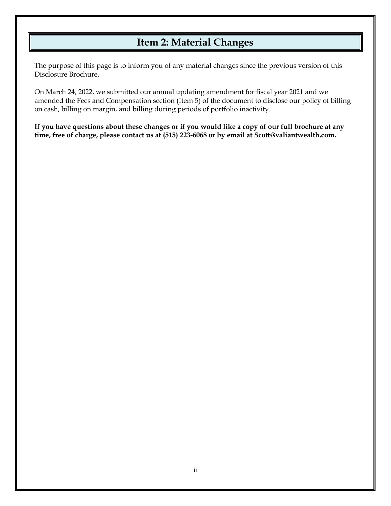# **Item 2: Material Changes**

<span id="page-1-0"></span>The purpose of this page is to inform you of any material changes since the previous version of this Disclosure Brochure.

On March 24, 2022, we submitted our annual updating amendment for fiscal year 2021 and we amended the Fees and Compensation section (Item 5) of the document to disclose our policy of billing on cash, billing on margin, and billing during periods of portfolio inactivity.

**If you have questions about these changes or if you would like a copy of our full brochure at any time, free of charge, please contact us at (515) 223-6068 or by email at Scott@valiantwealth.com.**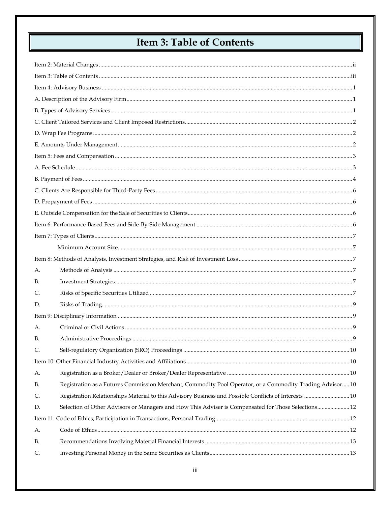# **Item 3: Table of Contents**

<span id="page-2-0"></span>

| А.        |                                                                                                           |  |  |  |  |
|-----------|-----------------------------------------------------------------------------------------------------------|--|--|--|--|
| <b>B.</b> |                                                                                                           |  |  |  |  |
| C.        |                                                                                                           |  |  |  |  |
| D.        |                                                                                                           |  |  |  |  |
|           |                                                                                                           |  |  |  |  |
| А.        |                                                                                                           |  |  |  |  |
| В.        |                                                                                                           |  |  |  |  |
| C.        |                                                                                                           |  |  |  |  |
|           |                                                                                                           |  |  |  |  |
| А.        |                                                                                                           |  |  |  |  |
| <b>B.</b> | Registration as a Futures Commission Merchant, Commodity Pool Operator, or a Commodity Trading Advisor 10 |  |  |  |  |
| C.        | Registration Relationships Material to this Advisory Business and Possible Conflicts of Interests  10     |  |  |  |  |
| D.        | Selection of Other Advisors or Managers and How This Adviser is Compensated for Those Selections 12       |  |  |  |  |
|           |                                                                                                           |  |  |  |  |
| А.        |                                                                                                           |  |  |  |  |
| <b>B.</b> |                                                                                                           |  |  |  |  |
| C.        |                                                                                                           |  |  |  |  |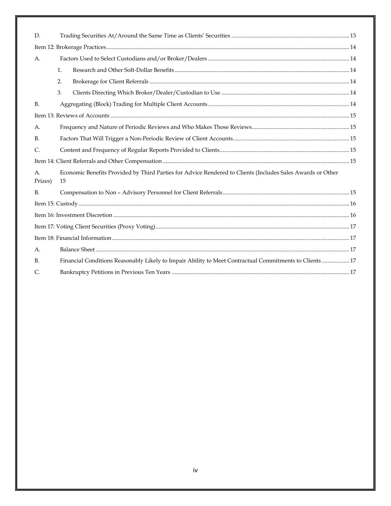| D.             |                                                                                                                  |  |  |  |
|----------------|------------------------------------------------------------------------------------------------------------------|--|--|--|
|                |                                                                                                                  |  |  |  |
| A.             |                                                                                                                  |  |  |  |
|                | 1.                                                                                                               |  |  |  |
|                | 2.                                                                                                               |  |  |  |
|                | 3.                                                                                                               |  |  |  |
| <b>B.</b>      |                                                                                                                  |  |  |  |
|                |                                                                                                                  |  |  |  |
| А.             |                                                                                                                  |  |  |  |
| <b>B.</b>      |                                                                                                                  |  |  |  |
| $\mathsf{C}$ . |                                                                                                                  |  |  |  |
|                |                                                                                                                  |  |  |  |
| A.<br>Prizes)  | Economic Benefits Provided by Third Parties for Advice Rendered to Clients (Includes Sales Awards or Other<br>15 |  |  |  |
| <b>B.</b>      |                                                                                                                  |  |  |  |
|                |                                                                                                                  |  |  |  |
|                |                                                                                                                  |  |  |  |
|                |                                                                                                                  |  |  |  |
|                |                                                                                                                  |  |  |  |
| А.             |                                                                                                                  |  |  |  |
| <b>B.</b>      | Financial Conditions Reasonably Likely to Impair Ability to Meet Contractual Commitments to Clients  17          |  |  |  |
| C.             |                                                                                                                  |  |  |  |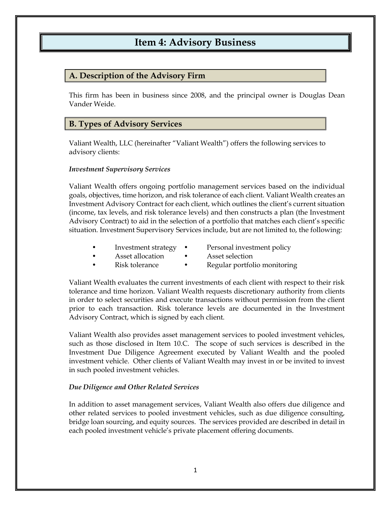# **Item 4: Advisory Business**

### <span id="page-4-1"></span><span id="page-4-0"></span>**A. Description of the Advisory Firm**

This firm has been in business since 2008, and the principal owner is Douglas Dean Vander Weide.

### <span id="page-4-2"></span>**B. Types of Advisory Services**

Valiant Wealth, LLC (hereinafter "Valiant Wealth") offers the following services to advisory clients:

#### *Investment Supervisory Services*

Valiant Wealth offers ongoing portfolio management services based on the individual goals, objectives, time horizon, and risk tolerance of each client. Valiant Wealth creates an Investment Advisory Contract for each client, which outlines the client's current situation (income, tax levels, and risk tolerance levels) and then constructs a plan (the Investment Advisory Contract) to aid in the selection of a portfolio that matches each client's specific situation. Investment Supervisory Services include, but are not limited to, the following:

- Investment strategy Personal investment policy
- 
- Asset allocation Asset selection
	- Risk tolerance Regular portfolio monitoring

Valiant Wealth evaluates the current investments of each client with respect to their risk tolerance and time horizon. Valiant Wealth requests discretionary authority from clients in order to select securities and execute transactions without permission from the client prior to each transaction. Risk tolerance levels are documented in the Investment Advisory Contract, which is signed by each client.

Valiant Wealth also provides asset management services to pooled investment vehicles, such as those disclosed in Item 10.C. The scope of such services is described in the Investment Due Diligence Agreement executed by Valiant Wealth and the pooled investment vehicle. Other clients of Valiant Wealth may invest in or be invited to invest in such pooled investment vehicles.

#### *Due Diligence and Other Related Services*

In addition to asset management services, Valiant Wealth also offers due diligence and other related services to pooled investment vehicles, such as due diligence consulting, bridge loan sourcing, and equity sources. The services provided are described in detail in each pooled investment vehicle's private placement offering documents.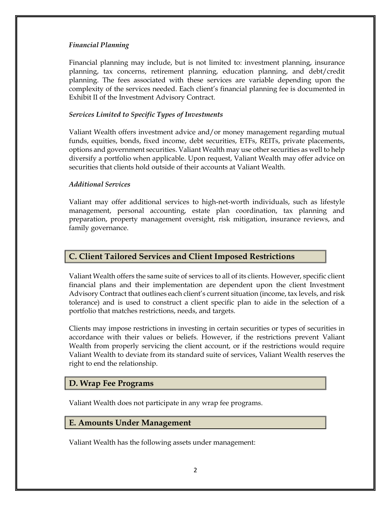#### *Financial Planning*

Financial planning may include, but is not limited to: investment planning, insurance planning, tax concerns, retirement planning, education planning, and debt/credit planning. The fees associated with these services are variable depending upon the complexity of the services needed. Each client's financial planning fee is documented in Exhibit II of the Investment Advisory Contract.

#### *Services Limited to Specific Types of Investments*

Valiant Wealth offers investment advice and/or money management regarding mutual funds, equities, bonds, fixed income, debt securities, ETFs, REITs, private placements, options and government securities. Valiant Wealth may use other securities as well to help diversify a portfolio when applicable. Upon request, Valiant Wealth may offer advice on securities that clients hold outside of their accounts at Valiant Wealth.

#### *Additional Services*

Valiant may offer additional services to high-net-worth individuals, such as lifestyle management, personal accounting, estate plan coordination, tax planning and preparation, property management oversight, risk mitigation, insurance reviews, and family governance.

### <span id="page-5-0"></span>**C. Client Tailored Services and Client Imposed Restrictions**

Valiant Wealth offers the same suite of services to all of its clients. However, specific client financial plans and their implementation are dependent upon the client Investment Advisory Contract that outlines each client's current situation (income, tax levels, and risk tolerance) and is used to construct a client specific plan to aide in the selection of a portfolio that matches restrictions, needs, and targets.

Clients may impose restrictions in investing in certain securities or types of securities in accordance with their values or beliefs. However, if the restrictions prevent Valiant Wealth from properly servicing the client account, or if the restrictions would require Valiant Wealth to deviate from its standard suite of services, Valiant Wealth reserves the right to end the relationship.

### <span id="page-5-1"></span>**D. Wrap Fee Programs**

Valiant Wealth does not participate in any wrap fee programs.

#### <span id="page-5-2"></span>**E. Amounts Under Management**

Valiant Wealth has the following assets under management: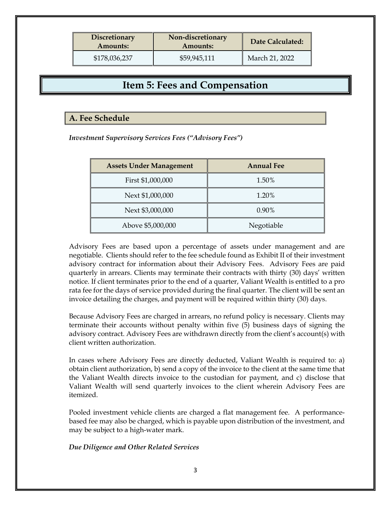| <b>Discretionary</b><br><b>Amounts:</b> | Non-discretionary<br>Amounts: | Date Calculated: |
|-----------------------------------------|-------------------------------|------------------|
| \$178,036,237                           | \$59,945,111                  | March 21, 2022   |

# **Item 5: Fees and Compensation**

### <span id="page-6-1"></span><span id="page-6-0"></span>**A. Fee Schedule**

*Investment Supervisory Services Fees ("Advisory Fees")*

| <b>Assets Under Management</b> | <b>Annual Fee</b> |
|--------------------------------|-------------------|
| First \$1,000,000              | 1.50%             |
| Next \$1,000,000               | 1.20%             |
| Next \$3,000,000               | 0.90%             |
| Above \$5,000,000              | Negotiable        |

Advisory Fees are based upon a percentage of assets under management and are negotiable. Clients should refer to the fee schedule found as Exhibit II of their investment advisory contract for information about their Advisory Fees. Advisory Fees are paid quarterly in arrears. Clients may terminate their contracts with thirty (30) days' written notice. If client terminates prior to the end of a quarter, Valiant Wealth is entitled to a pro rata fee for the days of service provided during the final quarter. The client will be sent an invoice detailing the charges, and payment will be required within thirty (30) days.

Because Advisory Fees are charged in arrears, no refund policy is necessary. Clients may terminate their accounts without penalty within five (5) business days of signing the advisory contract. Advisory Fees are withdrawn directly from the client's account(s) with client written authorization.

In cases where Advisory Fees are directly deducted, Valiant Wealth is required to: a) obtain client authorization, b) send a copy of the invoice to the client at the same time that the Valiant Wealth directs invoice to the custodian for payment, and c) disclose that Valiant Wealth will send quarterly invoices to the client wherein Advisory Fees are itemized.

Pooled investment vehicle clients are charged a flat management fee. A performancebased fee may also be charged, which is payable upon distribution of the investment, and may be subject to a high-water mark.

*Due Diligence and Other Related Services*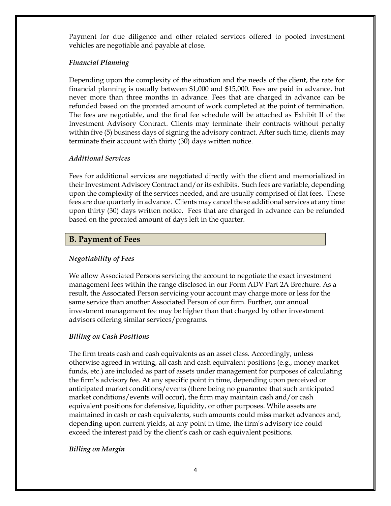Payment for due diligence and other related services offered to pooled investment vehicles are negotiable and payable at close.

#### *Financial Planning*

Depending upon the complexity of the situation and the needs of the client, the rate for financial planning is usually between \$1,000 and \$15,000. Fees are paid in advance, but never more than three months in advance. Fees that are charged in advance can be refunded based on the prorated amount of work completed at the point of termination. The fees are negotiable, and the final fee schedule will be attached as Exhibit II of the Investment Advisory Contract. Clients may terminate their contracts without penalty within five (5) business days of signing the advisory contract. After such time, clients may terminate their account with thirty (30) days written notice.

### *Additional Services*

Fees for additional services are negotiated directly with the client and memorialized in their Investment Advisory Contract and/or its exhibits. Such fees are variable, depending upon the complexity of the services needed, and are usually comprised of flat fees. These fees are due quarterly in advance. Clients may cancel these additional services at any time upon thirty (30) days written notice. Fees that are charged in advance can be refunded based on the prorated amount of days left in the quarter.

# <span id="page-7-0"></span>**B. Payment of Fees**

### *Negotiability of Fees*

We allow Associated Persons servicing the account to negotiate the exact investment management fees within the range disclosed in our Form ADV Part 2A Brochure. As a result, the Associated Person servicing your account may charge more or less for the same service than another Associated Person of our firm. Further, our annual investment management fee may be higher than that charged by other investment advisors offering similar services/programs.

### *Billing on Cash Positions*

The firm treats cash and cash equivalents as an asset class. Accordingly, unless otherwise agreed in writing, all cash and cash equivalent positions (e.g., money market funds, etc.) are included as part of assets under management for purposes of calculating the firm's advisory fee. At any specific point in time, depending upon perceived or anticipated market conditions/events (there being no guarantee that such anticipated market conditions/events will occur), the firm may maintain cash and/or cash equivalent positions for defensive, liquidity, or other purposes. While assets are maintained in cash or cash equivalents, such amounts could miss market advances and, depending upon current yields, at any point in time, the firm's advisory fee could exceed the interest paid by the client's cash or cash equivalent positions.

## *Billing on Margin*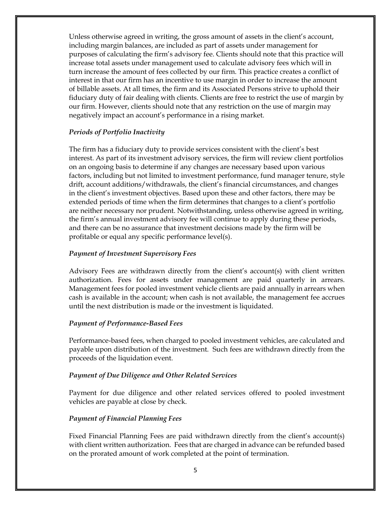Unless otherwise agreed in writing, the gross amount of assets in the client's account, including margin balances, are included as part of assets under management for purposes of calculating the firm's advisory fee. Clients should note that this practice will increase total assets under management used to calculate advisory fees which will in turn increase the amount of fees collected by our firm. This practice creates a conflict of interest in that our firm has an incentive to use margin in order to increase the amount of billable assets. At all times, the firm and its Associated Persons strive to uphold their fiduciary duty of fair dealing with clients. Clients are free to restrict the use of margin by our firm. However, clients should note that any restriction on the use of margin may negatively impact an account's performance in a rising market.

#### *Periods of Portfolio Inactivity*

The firm has a fiduciary duty to provide services consistent with the client's best interest. As part of its investment advisory services, the firm will review client portfolios on an ongoing basis to determine if any changes are necessary based upon various factors, including but not limited to investment performance, fund manager tenure, style drift, account additions/withdrawals, the client's financial circumstances, and changes in the client's investment objectives. Based upon these and other factors, there may be extended periods of time when the firm determines that changes to a client's portfolio are neither necessary nor prudent. Notwithstanding, unless otherwise agreed in writing, the firm's annual investment advisory fee will continue to apply during these periods, and there can be no assurance that investment decisions made by the firm will be profitable or equal any specific performance level(s).

#### *Payment of Investment Supervisory Fees*

Advisory Fees are withdrawn directly from the client's account(s) with client written authorization. Fees for assets under management are paid quarterly in arrears. Management fees for pooled investment vehicle clients are paid annually in arrears when cash is available in the account; when cash is not available, the management fee accrues until the next distribution is made or the investment is liquidated.

#### *Payment of Performance-Based Fees*

Performance-based fees, when charged to pooled investment vehicles, are calculated and payable upon distribution of the investment. Such fees are withdrawn directly from the proceeds of the liquidation event.

#### *Payment of Due Diligence and Other Related Services*

Payment for due diligence and other related services offered to pooled investment vehicles are payable at close by check.

#### *Payment of Financial Planning Fees*

Fixed Financial Planning Fees are paid withdrawn directly from the client's account(s) with client written authorization. Fees that are charged in advance can be refunded based on the prorated amount of work completed at the point of termination.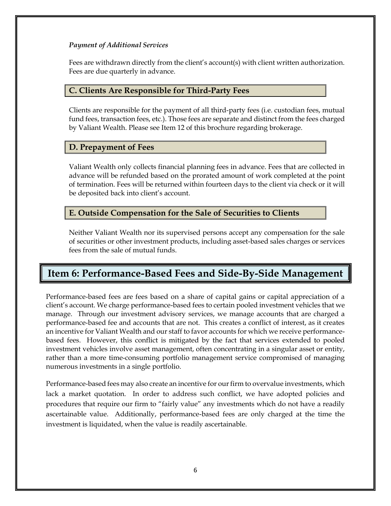#### *Payment of Additional Services*

Fees are withdrawn directly from the client's account(s) with client written authorization. Fees are due quarterly in advance.

## <span id="page-9-0"></span>**C. Clients Are Responsible for Third-Party Fees**

Clients are responsible for the payment of all third-party fees (i.e. custodian fees, mutual fund fees, transaction fees, etc.). Those fees are separate and distinct from the fees charged by Valiant Wealth. Please see Item 12 of this brochure regarding brokerage.

### <span id="page-9-1"></span>**D. Prepayment of Fees**

Valiant Wealth only collects financial planning fees in advance. Fees that are collected in advance will be refunded based on the prorated amount of work completed at the point of termination. Fees will be returned within fourteen days to the client via check or it will be deposited back into client's account.

# <span id="page-9-2"></span>**E. Outside Compensation for the Sale of Securities to Clients**

Neither Valiant Wealth nor its supervised persons accept any compensation for the sale of securities or other investment products, including asset-based sales charges or services fees from the sale of mutual funds.

# <span id="page-9-3"></span>**Item 6: Performance-Based Fees and Side-By-Side Management**

Performance-based fees are fees based on a share of capital gains or capital appreciation of a client's account. We charge performance-based fees to certain pooled investment vehicles that we manage. Through our investment advisory services, we manage accounts that are charged a performance-based fee and accounts that are not. This creates a conflict of interest, as it creates an incentive for Valiant Wealth and our staff to favor accounts for which we receive performancebased fees. However, this conflict is mitigated by the fact that services extended to pooled investment vehicles involve asset management, often concentrating in a singular asset or entity, rather than a more time-consuming portfolio management service compromised of managing numerous investments in a single portfolio.

Performance-based fees may also create an incentive for our firm to overvalue investments, which lack a market quotation. In order to address such conflict, we have adopted policies and procedures that require our firm to "fairly value" any investments which do not have a readily ascertainable value. Additionally, performance-based fees are only charged at the time the investment is liquidated, when the value is readily ascertainable.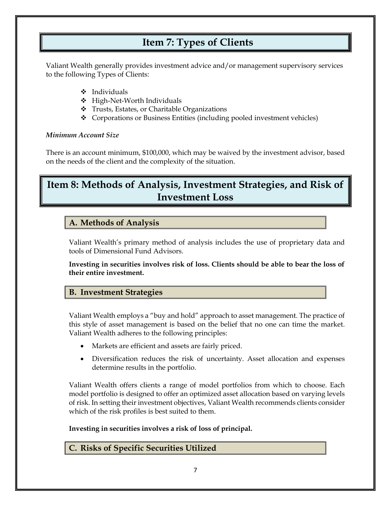# <span id="page-10-0"></span> **Item 7: Types of Clients**

Valiant Wealth generally provides investment advice and/or management supervisory services to the following Types of Clients:

- ❖ Individuals
- ❖ High-Net-Worth Individuals
- ❖ Trusts, Estates, or Charitable Organizations
- ❖ Corporations or Business Entities (including pooled investment vehicles)

### <span id="page-10-1"></span>*Minimum Account Size*

There is an account minimum, \$100,000, which may be waived by the investment advisor, based on the needs of the client and the complexity of the situation.

# <span id="page-10-2"></span>**Item 8: Methods of Analysis, Investment Strategies, and Risk of Investment Loss**

## <span id="page-10-3"></span>**A. Methods of Analysis**

Valiant Wealth's primary method of analysis includes the use of proprietary data and tools of Dimensional Fund Advisors.

**Investing in securities involves risk of loss. Clients should be able to bear the loss of their entire investment.**

## <span id="page-10-4"></span>**B. Investment Strategies**

Valiant Wealth employs a "buy and hold" approach to asset management. The practice of this style of asset management is based on the belief that no one can time the market. Valiant Wealth adheres to the following principles:

- Markets are efficient and assets are fairly priced.
- Diversification reduces the risk of uncertainty. Asset allocation and expenses determine results in the portfolio.

Valiant Wealth offers clients a range of model portfolios from which to choose. Each model portfolio is designed to offer an optimized asset allocation based on varying levels of risk. In setting their investment objectives, Valiant Wealth recommends clients consider which of the risk profiles is best suited to them.

**Investing in securities involves a risk of loss of principal.**

<span id="page-10-5"></span>**C. Risks of Specific Securities Utilized**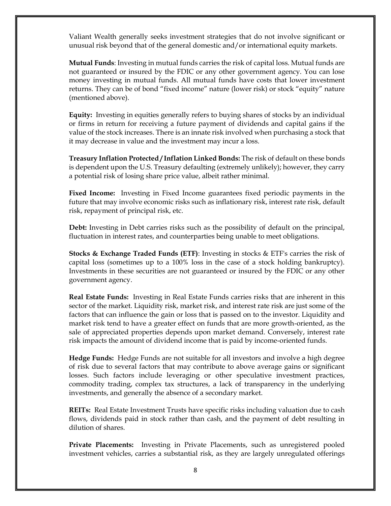Valiant Wealth generally seeks investment strategies that do not involve significant or unusual risk beyond that of the general domestic and/or international equity markets.

**Mutual Funds**: Investing in mutual funds carries the risk of capital loss. Mutual funds are not guaranteed or insured by the FDIC or any other government agency. You can lose money investing in mutual funds. All mutual funds have costs that lower investment returns. They can be of bond "fixed income" nature (lower risk) or stock "equity" nature (mentioned above).

**Equity:** Investing in equities generally refers to buying shares of stocks by an individual or firms in return for receiving a future payment of dividends and capital gains if the value of the stock increases. There is an innate risk involved when purchasing a stock that it may decrease in value and the investment may incur a loss.

**Treasury Inflation Protected /Inflation Linked Bonds:** The risk of default on these bonds is dependent upon the U.S. Treasury defaulting (extremely unlikely); however, they carry a potential risk of losing share price value, albeit rather minimal.

**Fixed Income:** Investing in Fixed Income guarantees fixed periodic payments in the future that may involve economic risks such as inflationary risk, interest rate risk, default risk, repayment of principal risk, etc.

**Debt:** Investing in Debt carries risks such as the possibility of default on the principal, fluctuation in interest rates, and counterparties being unable to meet obligations.

**Stocks & Exchange Traded Funds (ETF)**: Investing in stocks & ETF's carries the risk of capital loss (sometimes up to a 100% loss in the case of a stock holding bankruptcy). Investments in these securities are not guaranteed or insured by the FDIC or any other government agency.

**Real Estate Funds:** Investing in Real Estate Funds carries risks that are inherent in this sector of the market. Liquidity risk, market risk, and interest rate risk are just some of the factors that can influence the gain or loss that is passed on to the investor. Liquidity and market risk tend to have a greater effect on funds that are more growth-oriented, as the sale of appreciated properties depends upon market demand. Conversely, interest rate risk impacts the amount of dividend income that is paid by income-oriented funds.

**Hedge Funds:** Hedge Funds are not suitable for all investors and involve a high degree of risk due to several factors that may contribute to above average gains or significant losses. Such factors include leveraging or other speculative investment practices, commodity trading, complex tax structures, a lack of transparency in the underlying investments, and generally the absence of a secondary market.

**REITs:** Real Estate Investment Trusts have specific risks including valuation due to cash flows, dividends paid in stock rather than cash, and the payment of debt resulting in dilution of shares.

**Private Placements:** Investing in Private Placements, such as unregistered pooled investment vehicles, carries a substantial risk, as they are largely unregulated offerings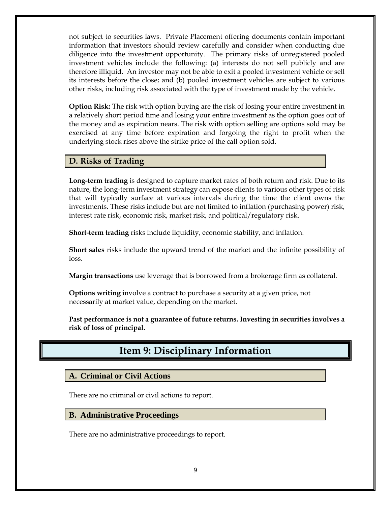not subject to securities laws. Private Placement offering documents contain important information that investors should review carefully and consider when conducting due diligence into the investment opportunity. The primary risks of unregistered pooled investment vehicles include the following: (a) interests do not sell publicly and are therefore illiquid. An investor may not be able to exit a pooled investment vehicle or sell its interests before the close; and (b) pooled investment vehicles are subject to various other risks, including risk associated with the type of investment made by the vehicle.

**Option Risk:** The risk with option buying are the risk of losing your entire investment in a relatively short period time and losing your entire investment as the option goes out of the money and as expiration nears. The risk with option selling are options sold may be exercised at any time before expiration and forgoing the right to profit when the underlying stock rises above the strike price of the call option sold.

### <span id="page-12-0"></span>**D. Risks of Trading**

**Long-term trading** is designed to capture market rates of both return and risk. Due to its nature, the long-term investment strategy can expose clients to various other types of risk that will typically surface at various intervals during the time the client owns the investments. These risks include but are not limited to inflation (purchasing power) risk, interest rate risk, economic risk, market risk, and political/regulatory risk.

**Short-term trading** risks include liquidity, economic stability, and inflation.

**Short sales** risks include the upward trend of the market and the infinite possibility of loss.

**Margin transactions** use leverage that is borrowed from a brokerage firm as collateral.

**Options writing** involve a contract to purchase a security at a given price, not necessarily at market value, depending on the market.

<span id="page-12-1"></span>**Past performance is not a guarantee of future returns. Investing in securities involves a risk of loss of principal.**

# **Item 9: Disciplinary Information**

<span id="page-12-2"></span>**A. Criminal or Civil Actions**

There are no criminal or civil actions to report.

<span id="page-12-3"></span>**B. Administrative Proceedings**

There are no administrative proceedings to report.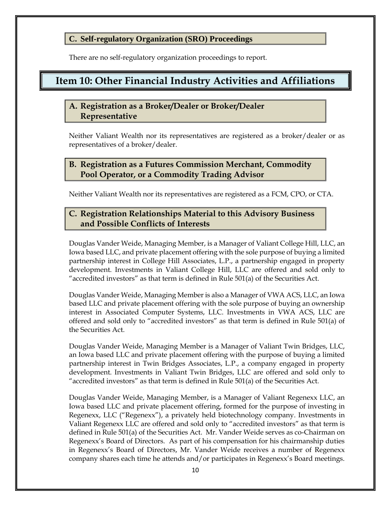### <span id="page-13-0"></span>**C. Self-regulatory Organization (SRO) Proceedings**

There are no self-regulatory organization proceedings to report.

# <span id="page-13-1"></span>**Item 10: Other Financial Industry Activities and Affiliations**

## <span id="page-13-2"></span>**A. Registration as a Broker/Dealer or Broker/Dealer Representative**

Neither Valiant Wealth nor its representatives are registered as a broker/dealer or as representatives of a broker/dealer.

## <span id="page-13-3"></span>**B. Registration as a Futures Commission Merchant, Commodity Pool Operator, or a Commodity Trading Advisor**

Neither Valiant Wealth nor its representatives are registered as a FCM, CPO, or CTA.

# <span id="page-13-4"></span>**C. Registration Relationships Material to this Advisory Business and Possible Conflicts of Interests**

Douglas Vander Weide, Managing Member, is a Manager of Valiant College Hill, LLC, an Iowa based LLC, and private placement offering with the sole purpose of buying a limited partnership interest in College Hill Associates, L.P., a partnership engaged in property development. Investments in Valiant College Hill, LLC are offered and sold only to "accredited investors" as that term is defined in Rule 501(a) of the Securities Act.

Douglas Vander Weide, Managing Member is also a Manager of VWA ACS, LLC, an Iowa based LLC and private placement offering with the sole purpose of buying an ownership interest in Associated Computer Systems, LLC. Investments in VWA ACS, LLC are offered and sold only to "accredited investors" as that term is defined in Rule 501(a) of the Securities Act.

Douglas Vander Weide, Managing Member is a Manager of Valiant Twin Bridges, LLC, an Iowa based LLC and private placement offering with the purpose of buying a limited partnership interest in Twin Bridges Associates, L.P., a company engaged in property development. Investments in Valiant Twin Bridges, LLC are offered and sold only to "accredited investors" as that term is defined in Rule 501(a) of the Securities Act.

Douglas Vander Weide, Managing Member, is a Manager of Valiant Regenexx LLC, an Iowa based LLC and private placement offering, formed for the purpose of investing in Regenexx, LLC ("Regenexx"), a privately held biotechnology company. Investments in Valiant Regenexx LLC are offered and sold only to "accredited investors" as that term is defined in Rule 501(a) of the Securities Act. Mr. Vander Weide serves as co-Chairman on Regenexx's Board of Directors. As part of his compensation for his chairmanship duties in Regenexx's Board of Directors, Mr. Vander Weide receives a number of Regenexx company shares each time he attends and/or participates in Regenexx's Board meetings.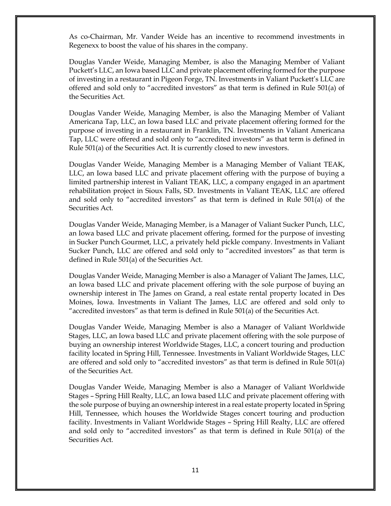As co-Chairman, Mr. Vander Weide has an incentive to recommend investments in Regenexx to boost the value of his shares in the company.

Douglas Vander Weide, Managing Member, is also the Managing Member of Valiant Puckett's LLC, an Iowa based LLC and private placement offering formed for the purpose of investing in a restaurant in Pigeon Forge, TN. Investments in Valiant Puckett's LLC are offered and sold only to "accredited investors" as that term is defined in Rule 501(a) of the Securities Act.

Douglas Vander Weide, Managing Member, is also the Managing Member of Valiant Americana Tap, LLC, an Iowa based LLC and private placement offering formed for the purpose of investing in a restaurant in Franklin, TN. Investments in Valiant Americana Tap, LLC were offered and sold only to "accredited investors" as that term is defined in Rule 501(a) of the Securities Act. It is currently closed to new investors.

Douglas Vander Weide, Managing Member is a Managing Member of Valiant TEAK, LLC, an Iowa based LLC and private placement offering with the purpose of buying a limited partnership interest in Valiant TEAK, LLC, a company engaged in an apartment rehabilitation project in Sioux Falls, SD. Investments in Valiant TEAK, LLC are offered and sold only to "accredited investors" as that term is defined in Rule 501(a) of the Securities Act.

Douglas Vander Weide, Managing Member, is a Manager of Valiant Sucker Punch, LLC, an Iowa based LLC and private placement offering, formed for the purpose of investing in Sucker Punch Gourmet, LLC, a privately held pickle company. Investments in Valiant Sucker Punch, LLC are offered and sold only to "accredited investors" as that term is defined in Rule 501(a) of the Securities Act.

Douglas Vander Weide, Managing Member is also a Manager of Valiant The James, LLC, an Iowa based LLC and private placement offering with the sole purpose of buying an ownership interest in The James on Grand, a real estate rental property located in Des Moines, Iowa. Investments in Valiant The James, LLC are offered and sold only to "accredited investors" as that term is defined in Rule 501(a) of the Securities Act.

Douglas Vander Weide, Managing Member is also a Manager of Valiant Worldwide Stages, LLC, an Iowa based LLC and private placement offering with the sole purpose of buying an ownership interest Worldwide Stages, LLC, a concert touring and production facility located in Spring Hill, Tennessee. Investments in Valiant Worldwide Stages, LLC are offered and sold only to "accredited investors" as that term is defined in Rule 501(a) of the Securities Act.

Douglas Vander Weide, Managing Member is also a Manager of Valiant Worldwide Stages – Spring Hill Realty, LLC, an Iowa based LLC and private placement offering with the sole purpose of buying an ownership interest in a real estate property located in Spring Hill, Tennessee, which houses the Worldwide Stages concert touring and production facility. Investments in Valiant Worldwide Stages – Spring Hill Realty, LLC are offered and sold only to "accredited investors" as that term is defined in Rule 501(a) of the Securities Act.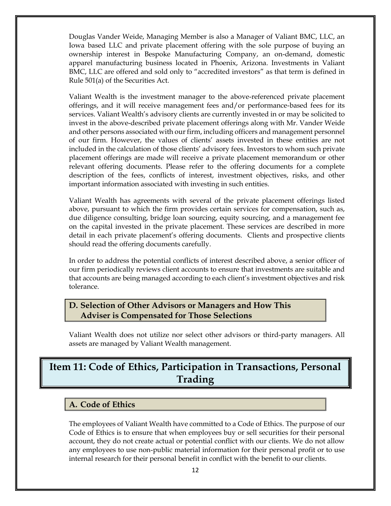Douglas Vander Weide, Managing Member is also a Manager of Valiant BMC, LLC, an Iowa based LLC and private placement offering with the sole purpose of buying an ownership interest in Bespoke Manufacturing Company, an on-demand, domestic apparel manufacturing business located in Phoenix, Arizona. Investments in Valiant BMC, LLC are offered and sold only to "accredited investors" as that term is defined in Rule 501(a) of the Securities Act.

Valiant Wealth is the investment manager to the above-referenced private placement offerings, and it will receive management fees and/or performance-based fees for its services. Valiant Wealth's advisory clients are currently invested in or may be solicited to invest in the above-described private placement offerings along with Mr. Vander Weide and other persons associated with our firm, including officers and management personnel of our firm. However, the values of clients' assets invested in these entities are not included in the calculation of those clients' advisory fees. Investors to whom such private placement offerings are made will receive a private placement memorandum or other relevant offering documents. Please refer to the offering documents for a complete description of the fees, conflicts of interest, investment objectives, risks, and other important information associated with investing in such entities.

Valiant Wealth has agreements with several of the private placement offerings listed above, pursuant to which the firm provides certain services for compensation, such as, due diligence consulting, bridge loan sourcing, equity sourcing, and a management fee on the capital invested in the private placement. These services are described in more detail in each private placement's offering documents. Clients and prospective clients should read the offering documents carefully.

In order to address the potential conflicts of interest described above, a senior officer of our firm periodically reviews client accounts to ensure that investments are suitable and that accounts are being managed according to each client's investment objectives and risk tolerance.

## <span id="page-15-0"></span>**D. Selection of Other Advisors or Managers and How This Adviser is Compensated for Those Selections**

Valiant Wealth does not utilize nor select other advisors or third-party managers. All assets are managed by Valiant Wealth management.

# <span id="page-15-1"></span>**Item 11: Code of Ethics, Participation in Transactions, Personal Trading**

## <span id="page-15-2"></span>**A. Code of Ethics**

The employees of Valiant Wealth have committed to a Code of Ethics. The purpose of our Code of Ethics is to ensure that when employees buy or sell securities for their personal account, they do not create actual or potential conflict with our clients. We do not allow any employees to use non-public material information for their personal profit or to use internal research for their personal benefit in conflict with the benefit to our clients.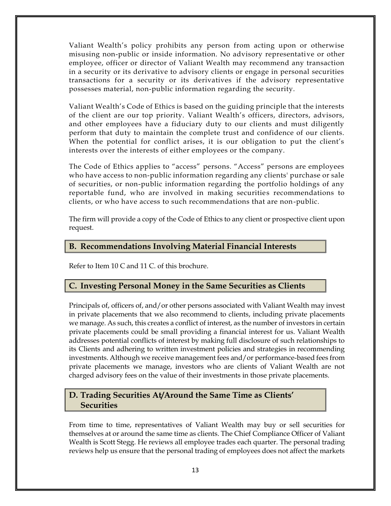Valiant Wealth's policy prohibits any person from acting upon or otherwise misusing non-public or inside information. No advisory representative or other employee, officer or director of Valiant Wealth may recommend any transaction in a security or its derivative to advisory clients or engage in personal securities transactions for a security or its derivatives if the advisory representative possesses material, non-public information regarding the security.

Valiant Wealth's Code of Ethics is based on the guiding principle that the interests of the client are our top priority. Valiant Wealth's officers, directors, advisors, and other employees have a fiduciary duty to our clients and must diligently perform that duty to maintain the complete trust and confidence of our clients. When the potential for conflict arises, it is our obligation to put the client's interests over the interests of either employees or the company.

The Code of Ethics applies to "access" persons. "Access" persons are employees who have access to non-public information regarding any clients' purchase or sale of securities, or non-public information regarding the portfolio holdings of any reportable fund, who are involved in making securities recommendations to clients, or who have access to such recommendations that are non-public.

The firm will provide a copy of the Code of Ethics to any client or prospective client upon request.

### <span id="page-16-0"></span>**B. Recommendations Involving Material Financial Interests**

Refer to Item 10 C and 11 C. of this brochure.

### <span id="page-16-1"></span>**C. Investing Personal Money in the Same Securities as Clients**

Principals of, officers of, and/or other persons associated with Valiant Wealth may invest in private placements that we also recommend to clients, including private placements we manage. As such, this creates a conflict of interest, as the number of investors in certain private placements could be small providing a financial interest for us. Valiant Wealth addresses potential conflicts of interest by making full disclosure of such relationships to its Clients and adhering to written investment policies and strategies in recommending investments. Although we receive management fees and/or performance-based fees from private placements we manage, investors who are clients of Valiant Wealth are not charged advisory fees on the value of their investments in those private placements.

## <span id="page-16-2"></span>**D. Trading Securities At/Around the Same Time as Clients' Securities**

From time to time, representatives of Valiant Wealth may buy or sell securities for themselves at or around the same time as clients. The Chief Compliance Officer of Valiant Wealth is Scott Stegg. He reviews all employee trades each quarter. The personal trading reviews help us ensure that the personal trading of employees does not affect the markets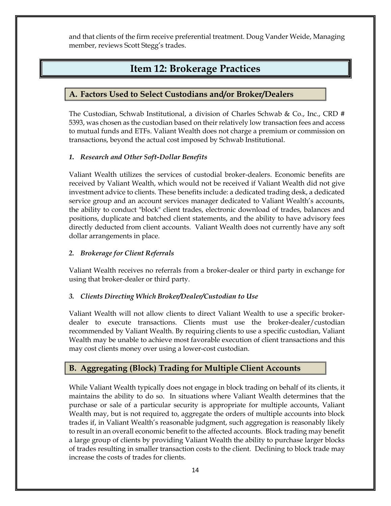<span id="page-17-0"></span>and that clients of the firm receive preferential treatment. Doug Vander Weide, Managing member, reviews Scott Stegg's trades.

# **Item 12: Brokerage Practices**

# <span id="page-17-1"></span>**A. Factors Used to Select Custodians and/or Broker/Dealers**

The Custodian, Schwab Institutional, a division of Charles Schwab & Co., Inc., CRD # 5393, was chosen as the custodian based on their relatively low transaction fees and access to mutual funds and ETFs. Valiant Wealth does not charge a premium or commission on transactions, beyond the actual cost imposed by Schwab Institutional.

### <span id="page-17-2"></span>*1. Research and Other Soft-Dollar Benefits*

Valiant Wealth utilizes the services of custodial broker-dealers. Economic benefits are received by Valiant Wealth, which would not be received if Valiant Wealth did not give investment advice to clients. These benefits include: a dedicated trading desk, a dedicated service group and an account services manager dedicated to Valiant Wealth's accounts, the ability to conduct "block" client trades, electronic download of trades, balances and positions, duplicate and batched client statements, and the ability to have advisory fees directly deducted from client accounts. Valiant Wealth does not currently have any soft dollar arrangements in place.

#### <span id="page-17-3"></span>*2. Brokerage for Client Referrals*

Valiant Wealth receives no referrals from a broker-dealer or third party in exchange for using that broker-dealer or third party.

#### <span id="page-17-4"></span>*3. Clients Directing Which Broker/Dealer/Custodian to Use*

Valiant Wealth will not allow clients to direct Valiant Wealth to use a specific brokerdealer to execute transactions. Clients must use the broker-dealer/custodian recommended by Valiant Wealth. By requiring clients to use a specific custodian, Valiant Wealth may be unable to achieve most favorable execution of client transactions and this may cost clients money over using a lower-cost custodian.

# <span id="page-17-5"></span>**B. Aggregating (Block) Trading for Multiple Client Accounts**

While Valiant Wealth typically does not engage in block trading on behalf of its clients, it maintains the ability to do so. In situations where Valiant Wealth determines that the purchase or sale of a particular security is appropriate for multiple accounts, Valiant Wealth may, but is not required to, aggregate the orders of multiple accounts into block trades if, in Valiant Wealth's reasonable judgment, such aggregation is reasonably likely to result in an overall economic benefit to the affected accounts. Block trading may benefit a large group of clients by providing Valiant Wealth the ability to purchase larger blocks of trades resulting in smaller transaction costs to the client. Declining to block trade may increase the costs of trades for clients.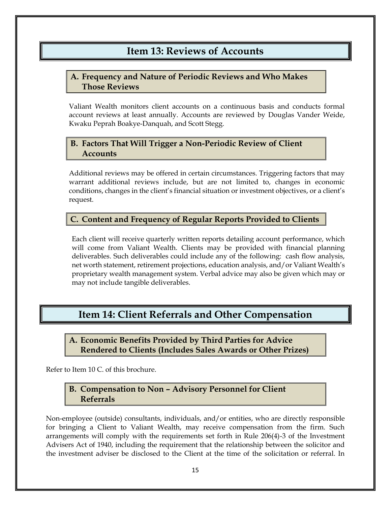# **Item 13: Reviews of Accounts**

# <span id="page-18-1"></span><span id="page-18-0"></span>**A. Frequency and Nature of Periodic Reviews and Who Makes Those Reviews**

Valiant Wealth monitors client accounts on a continuous basis and conducts formal account reviews at least annually. Accounts are reviewed by Douglas Vander Weide, Kwaku Peprah Boakye-Danquah, and Scott Stegg.

## <span id="page-18-2"></span>**B. Factors That Will Trigger a Non-Periodic Review of Client Accounts**

Additional reviews may be offered in certain circumstances. Triggering factors that may warrant additional reviews include, but are not limited to, changes in economic conditions, changes in the client's financial situation or investment objectives, or a client's request.

## <span id="page-18-3"></span>**C. Content and Frequency of Regular Reports Provided to Clients**

Each client will receive quarterly written reports detailing account performance, which will come from Valiant Wealth. Clients may be provided with financial planning deliverables. Such deliverables could include any of the following: cash flow analysis, net worth statement, retirement projections, education analysis, and/or Valiant Wealth's proprietary wealth management system. Verbal advice may also be given which may or may not include tangible deliverables.

# <span id="page-18-4"></span>**Item 14: Client Referrals and Other Compensation**

<span id="page-18-5"></span>**A. Economic Benefits Provided by Third Parties for Advice Rendered to Clients (Includes Sales Awards or Other Prizes)**

<span id="page-18-6"></span>Refer to Item 10 C. of this brochure.

## **B. Compensation to Non – Advisory Personnel for Client Referrals**

Non-employee (outside) consultants, individuals, and/or entities, who are directly responsible for bringing a Client to Valiant Wealth, may receive compensation from the firm. Such arrangements will comply with the requirements set forth in Rule 206(4)-3 of the Investment Advisers Act of 1940, including the requirement that the relationship between the solicitor and the investment adviser be disclosed to the Client at the time of the solicitation or referral. In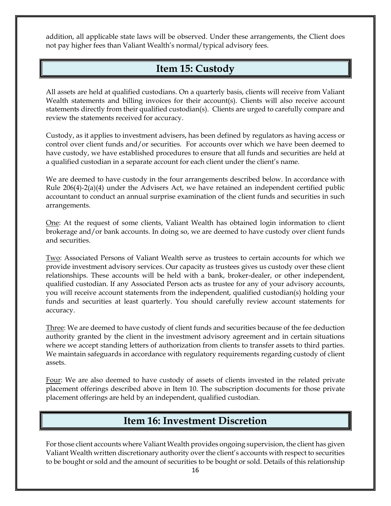<span id="page-19-0"></span>addition, all applicable state laws will be observed. Under these arrangements, the Client does not pay higher fees than Valiant Wealth's normal/typical advisory fees.

# **Item 15: Custody**

All assets are held at qualified custodians. On a quarterly basis, clients will receive from Valiant Wealth statements and billing invoices for their account(s). Clients will also receive account statements directly from their qualified custodian(s). Clients are urged to carefully compare and review the statements received for accuracy.

Custody, as it applies to investment advisers, has been defined by regulators as having access or control over client funds and/or securities. For accounts over which we have been deemed to have custody, we have established procedures to ensure that all funds and securities are held at a qualified custodian in a separate account for each client under the client's name.

We are deemed to have custody in the four arrangements described below. In accordance with Rule 206(4)-2(a)(4) under the Advisers Act, we have retained an independent certified public accountant to conduct an annual surprise examination of the client funds and securities in such arrangements.

One: At the request of some clients, Valiant Wealth has obtained login information to client brokerage and/or bank accounts. In doing so, we are deemed to have custody over client funds and securities.

Two: Associated Persons of Valiant Wealth serve as trustees to certain accounts for which we provide investment advisory services. Our capacity as trustees gives us custody over these client relationships. These accounts will be held with a bank, broker-dealer, or other independent, qualified custodian. If any Associated Person acts as trustee for any of your advisory accounts, you will receive account statements from the independent, qualified custodian(s) holding your funds and securities at least quarterly. You should carefully review account statements for accuracy.

Three: We are deemed to have custody of client funds and securities because of the fee deduction authority granted by the client in the investment advisory agreement and in certain situations where we accept standing letters of authorization from clients to transfer assets to third parties. We maintain safeguards in accordance with regulatory requirements regarding custody of client assets.

Four: We are also deemed to have custody of assets of clients invested in the related private placement offerings described above in Item 10. The subscription documents for those private placement offerings are held by an independent, qualified custodian.

# **Item 16: Investment Discretion**

<span id="page-19-1"></span>For those client accounts where Valiant Wealth provides ongoing supervision, the client has given Valiant Wealth written discretionary authority over the client's accounts with respect to securities to be bought or sold and the amount of securities to be bought or sold. Details of this relationship